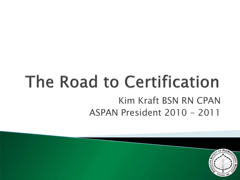#### The Road to Certification Kim Kraft BSN RN CPAN ASPAN President 2010 - 2011

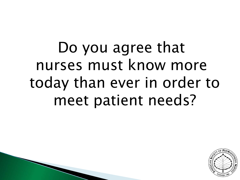## Do you agree that nurses must know more today than ever in order to meet patient needs?

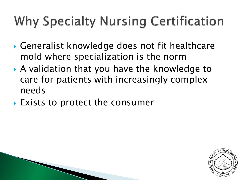#### **Why Specialty Nursing Certification**

- Generalist knowledge does not fit healthcare mold where specialization is the norm
- A validation that you have the knowledge to care for patients with increasingly complex needs
- ▶ Exists to protect the consumer

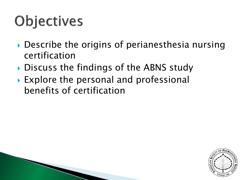# **Objectives**

- ▶ Describe the origins of perianesthesia nursing certification
- Discuss the findings of the ABNS study
- ▶ Explore the personal and professional benefits of certification

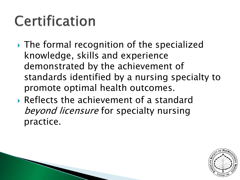### Certification

- ▶ The formal recognition of the specialized knowledge, skills and experience demonstrated by the achievement of standards identified by a nursing specialty to promote optimal health outcomes.
- Reflects the achievement of a standard beyond licensure for specialty nursing practice.

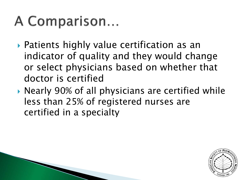#### A Comparison...

- Patients highly value certification as an indicator of quality and they would change or select physicians based on whether that doctor is certified
- ▶ Nearly 90% of all physicians are certified while less than 25% of registered nurses are certified in a specialty

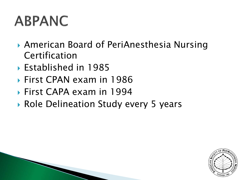### **ABPANC**

- American Board of PeriAnesthesia Nursing Certification
- Established in 1985
- First CPAN exam in 1986
- First CAPA exam in 1994
- ▶ Role Delineation Study every 5 years

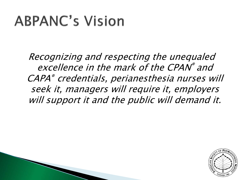### **ABPANC's Vision**

Recognizing and respecting the unequaled excellence in the mark of the CPAN® and CAPA® credentials, perianesthesia nurses will seek it, managers will require it, employers will support it and the public will demand it.

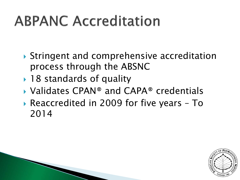## **ABPANC Accreditation**

- ▶ Stringent and comprehensive accreditation process through the ABSNC
- ▶ 18 standards of quality
- Validates CPAN® and CAPA® credentials
- Reaccredited in 2009 for five years To 2014

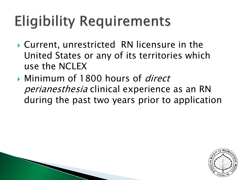# **Eligibility Requirements**

- Current, unrestricted RN licensure in the United States or any of its territories which use the NCLEX
- Minimum of 1800 hours of *direct* perianesthesia clinical experience as an RN during the past two years prior to application

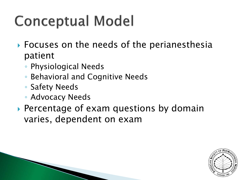## **Conceptual Model**

- ▶ Focuses on the needs of the perianesthesia patient
	- Physiological Needs
	- Behavioral and Cognitive Needs
	- Safety Needs
	- Advocacy Needs
- ▶ Percentage of exam questions by domain varies, dependent on exam

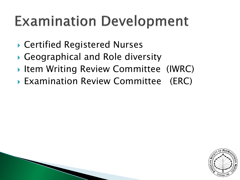### **Examination Development**

- ▶ Certified Registered Nurses
- Geographical and Role diversity
- Item Writing Review Committee (IWRC)
- ▶ Examination Review Committee (ERC)

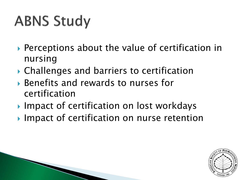# **ABNS Study**

- ▶ Perceptions about the value of certification in nursing
- Challenges and barriers to certification
- Benefits and rewards to nurses for certification
- ▶ Impact of certification on lost workdays
- Impact of certification on nurse retention

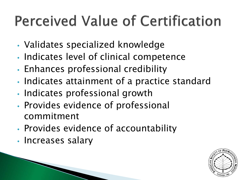## **Perceived Value of Certification**

- Validates specialized knowledge
- Indicates level of clinical competence
- Enhances professional credibility
- Indicates attainment of a practice standard
- Indicates professional growth
- Provides evidence of professional commitment
- Provides evidence of accountability
- Increases salary

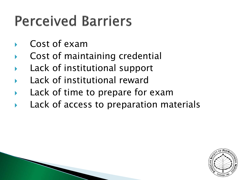### **Perceived Barriers**

- Cost of exam
- Cost of maintaining credential
- Lack of institutional support
- Lack of institutional reward
- Lack of time to prepare for exam
- Lack of access to preparation materials

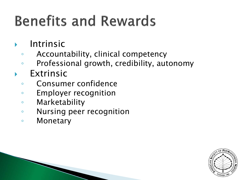# **Benefits and Rewards**

- Intrinsic
	- Accountability, clinical competency
	- Professional growth, credibility, autonomy
- Extrinsic
	- Consumer confidence
	- Employer recognition
	- Marketability
	- Nursing peer recognition
	- Monetary

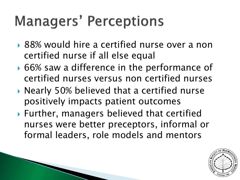### **Managers' Perceptions**

- ▶ 88% would hire a certified nurse over a non certified nurse if all else equal
- ▶ 66% saw a difference in the performance of certified nurses versus non certified nurses
- ▶ Nearly 50% believed that a certified nurse positively impacts patient outcomes
- Further, managers believed that certified nurses were better preceptors, informal or formal leaders, role models and mentors

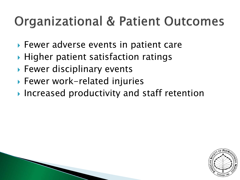#### **Organizational & Patient Outcomes**

- ▶ Fewer adverse events in patient care
- $\blacktriangleright$  Higher patient satisfaction ratings
- ▶ Fewer disciplinary events
- ▶ Fewer work-related injuries
- ▶ Increased productivity and staff retention

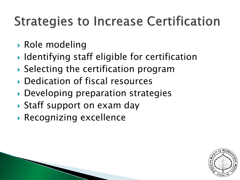#### **Strategies to Increase Certification**

- Role modeling
- ▶ Identifying staff eligible for certification
- Selecting the certification program
- Dedication of fiscal resources
- ▶ Developing preparation strategies
- ▶ Staff support on exam day
- Recognizing excellence

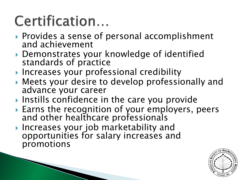## Certification...

- ▶ Provides a sense of personal accomplishment and achievement
- Demonstrates your knowledge of identified standards of practice
- **Increases your professional credibility**
- Meets your desire to develop professionally and advance your career
- Instills confidence in the care you provide
- ▶ Earns the recognition of your employers, peers and other healthcare professionals
- ▶ Increases your job marketability and opportunities for salary increases and promotions

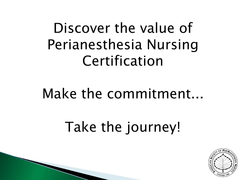Discover the value of Perianesthesia Nursing Certification

#### Make the commitment...

## Take the journey!